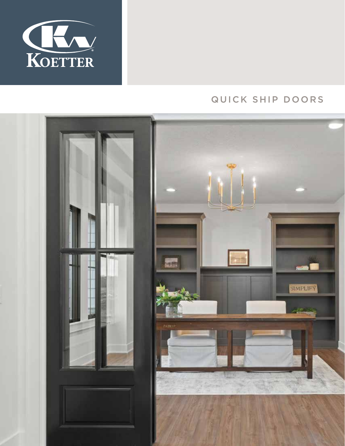

# QUICK SHIP DOORS

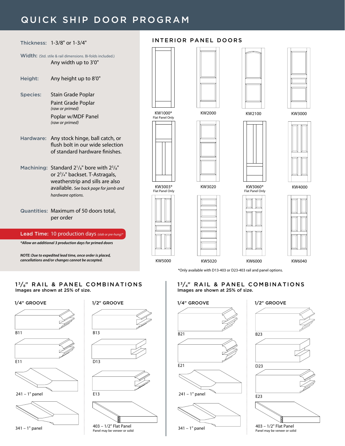## QUICK SHIP DOOR PROGRAM



### INTERIOR PANEL DOORS







KW3000

KW4000



#### 1<sup>3</sup>/<sub>8</sub>" RAIL & PANEL COMBINATIONS Images are shown at 25% of size.

*NOTE: Due to expedited lead time, once order is placed, cancellations and/or changes cannot be accepted.*



### 13/4" RAIL & PANEL COMBINATIONS Images are shown at 25% of size.







KW5020 KW6000 KW6040

\*Only available with D13-403 or D23-403 rail and panel options.





KW5000











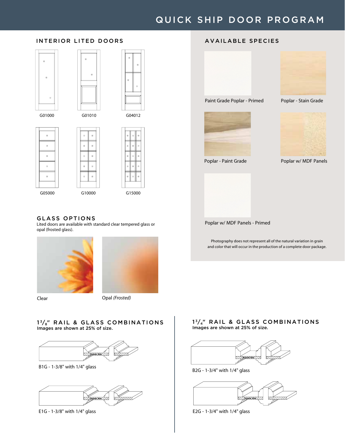## QUICK SHIP DOOR PROGRAM

### INTERIOR LITED DOORS







 $\mathbf{z}$ ý,  $\theta$ ú,





GLASS OPTIONS

Lited doors are available with standard clear tempered glass or opal (frosted glass).



Clear Opal *(Frosted)*

#### $1\frac{3}{8}$ " RAIL & GLASS COMBINATIONS Images are shown at 25% of size.



B1G - 1-3/8" with 1/4" glass



## AVAILABLE SPECIES







Poplar - Paint Grade Poplar w/ MDF Panels

Poplar w/ MDF Panels - Primed

Photography does not represent all of the natural variation in grain and color that will occur in the production of a complete door package.



Images are shown at 25% of size.

 $1^3/4$ " RAIL & GLASS COMBINATIONS

B2G - 1-3/4" with 1/4" glass



E1G - 1-3/8" with 1/4" glass E2G - 1-3/4" with 1/4" glass